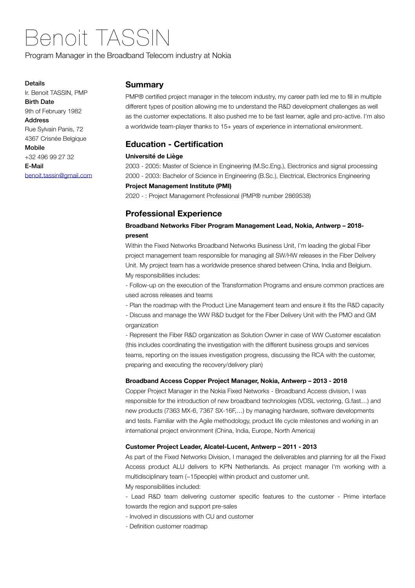# Benoit TASSIN

Program Manager in the Broadband Telecom industry at Nokia

#### Details

Ir. Benoit TASSIN, PMP Birth Date 9th of February 1982 Address Rue Sylvain Panis, 72 4367 Crisnée Belgique Mobile +32 496 99 27 32 E-Mail [benoit.tassin@gmail.com](mailto:benoit.tassin@gmail.com)

# **Summary**

PMP® certified project manager in the telecom industry, my career path led me to fill in multiple different types of position allowing me to understand the R&D development challenges as well as the customer expectations. It also pushed me to be fast learner, agile and pro-active. I'm also a worldwide team-player thanks to 15+ years of experience in international environment.

# **Education - Certification**

#### **Université de Liège**

2003 - 2005: Master of Science in Engineering (M.Sc.Eng.), Electronics and signal processing 2000 - 2003: Bachelor of Science in Engineering (B.Sc.), Electrical, Electronics Engineering

## **Project Management Institute (PMI)**

2020 - : Project Management Professional (PMP® number 2869538)

# **Professional Experience**

# **Broadband Networks Fiber Program Management Lead, Nokia, Antwerp – 2018 present**

Within the Fixed Networks Broadband Networks Business Unit, I'm leading the global Fiber project management team responsible for managing all SW/HW releases in the Fiber Delivery Unit. My project team has a worldwide presence shared between China, India and Belgium. My responsibilities includes:

- Follow-up on the execution of the Transformation Programs and ensure common practices are used across releases and teams

- Plan the roadmap with the Product Line Management team and ensure it fits the R&D capacity

- Discuss and manage the WW R&D budget for the Fiber Delivery Unit with the PMO and GM organization

- Represent the Fiber R&D organization as Solution Owner in case of WW Customer escalation (this includes coordinating the investigation with the different business groups and services teams, reporting on the issues investigation progress, discussing the RCA with the customer, preparing and executing the recovery/delivery plan)

#### **Broadband Access Copper Project Manager, Nokia, Antwerp – 2013 - 2018**

Copper Project Manager in the Nokia Fixed Networks - Broadband Access division, I was responsible for the introduction of new broadband technologies (VDSL vectoring, G.fast…) and new products (7363 MX-6, 7367 SX-16F,…) by managing hardware, software developments and tests. Familiar with the Agile methodology, product life cycle milestones and working in an international project environment (China, India, Europe, North America)

#### **Customer Project Leader, Alcatel-Lucent, Antwerp – 2011 - 2013**

As part of the Fixed Networks Division, I managed the deliverables and planning for all the Fixed Access product ALU delivers to KPN Netherlands. As project manager I'm working with a multidisciplinary team (~15people) within product and customer unit.

My responsibilities included:

- Lead R&D team delivering customer specific features to the customer - Prime interface towards the region and support pre-sales

- Involved in discussions with CU and customer
- Definition customer roadmap